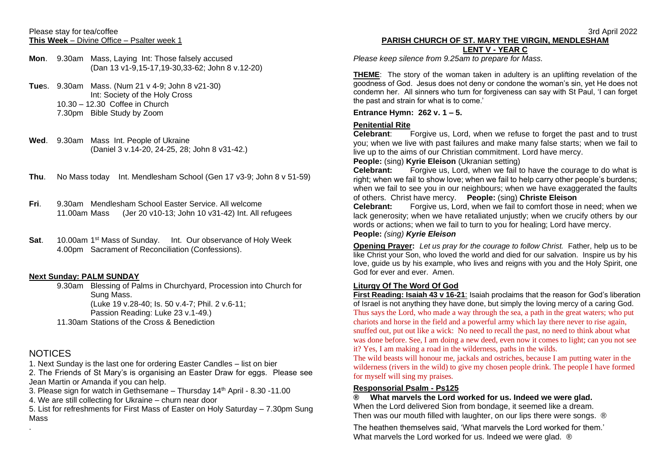### Please stay for tea/coffee **This Week** – Divine Office – Psalter week 1

- **Mon**. 9.30am Mass, Laying Int: Those falsely accused (Dan 13 v1-9,15-17,19-30,33-62; John 8 v.12-20)
- **Tue**s. 9.30am Mass. (Num 21 v 4-9; John 8 v21-30) Int: Society of the Holy Cross 10.30 – 12.30 Coffee in Church 7.30pm Bible Study by Zoom
- **Wed**. 9.30am Mass Int. People of Ukraine (Daniel 3 v.14-20, 24-25, 28; John 8 v31-42.)
- **Thu**. No Mass today Int. Mendlesham School (Gen 17 v3-9; John 8 v 51-59)
- **Fri**. 9.30am Mendlesham School Easter Service. All welcome 11.00am Mass (Jer 20 v10-13; John 10 v31-42) Int. All refugees
- Sat. 10.00am 1<sup>st</sup> Mass of Sunday. Int. Our observance of Holy Week 4.00pm Sacrament of Reconciliation (Confessions).

## **Next Sunday: PALM SUNDAY**

9.30am Blessing of Palms in Churchyard, Procession into Church for Sung Mass. (Luke 19 v.28-40; Is. 50 v.4-7; Phil. 2 v.6-11; Passion Reading: Luke 23 v.1-49.) 11.30am Stations of the Cross & Benediction

# **NOTICES**

.

1. Next Sunday is the last one for ordering Easter Candles – list on bier

2. The Friends of St Mary's is organising an Easter Draw for eggs. Please see Jean Martin or Amanda if you can help.

3. Please sign for watch in Gethsemane – Thursday  $14<sup>th</sup>$  April - 8.30 -11.00

4. We are still collecting for Ukraine – churn near door

5. List for refreshments for First Mass of Easter on Holy Saturday – 7.30pm Sung Mass

### 3rd April 2022 **PARISH CHURCH OF ST. MARY THE VIRGIN, MENDLESHAM LENT V - YEAR C**

*Please keep silence from 9.25am to prepare for Mass.*

**THEME**: The story of the woman taken in adultery is an uplifting revelation of the goodness of God. Jesus does not deny or condone the woman's sin, yet He does not condemn her. All sinners who turn for forgiveness can say with St Paul, 'I can forget the past and strain for what is to come.'

## **Entrance Hymn: 262 v. 1 – 5.**

## **Penitential Rite**

**Celebrant**: Forgive us, Lord, when we refuse to forget the past and to trust you; when we live with past failures and make many false starts; when we fail to live up to the aims of our Christian commitment. Lord have mercy.

## **People:** (sing) **Kyrie Eleison** (Ukranian setting)

**Celebrant:** Forgive us, Lord, when we fail to have the courage to do what is right; when we fail to show love; when we fail to help carry other people's burdens; when we fail to see you in our neighbours; when we have exaggerated the faults of others. Christ have mercy. **People:** (sing) **Christe Eleison**

**Celebrant:** Forgive us, Lord, when we fail to comfort those in need; when we lack generosity; when we have retaliated unjustly; when we crucify others by our words or actions; when we fail to turn to you for healing; Lord have mercy.

## **People:** *(sing) Kyrie Eleison*

**Opening Prayer:** *Let us pray for the courage to follow Christ.* Father, help us to be like Christ your Son, who loved the world and died for our salvation. Inspire us by his love, guide us by his example, who lives and reigns with you and the Holy Spirit, one God for ever and ever. Amen.

## **Liturgy Of The Word Of God**

**First Reading: Isaiah 43 v 16-21**: Isaiah proclaims that the reason for God's liberation of Israel is not anything they have done, but simply the loving mercy of a caring God. Thus says the Lord, who made a way through the sea, a path in the great waters; who put chariots and horse in the field and a powerful army which lay there never to rise again, snuffed out, put out like a wick: No need to recall the past, no need to think about what was done before. See, I am doing a new deed, even now it comes to light; can you not see it? Yes, I am making a road in the wilderness, paths in the wilds.

The wild beasts will honour me, jackals and ostriches, because I am putting water in the wilderness (rivers in the wild) to give my chosen people drink. The people I have formed for myself will sing my praises.

### **Responsorial Psalm - Ps125**

**® What marvels the Lord worked for us. Indeed we were glad.** When the Lord delivered Sion from bondage, it seemed like a dream. Then was our mouth filled with laughter, on our lips there were songs. ®

The heathen themselves said, 'What marvels the Lord worked for them.' What marvels the Lord worked for us. Indeed we were glad. ®